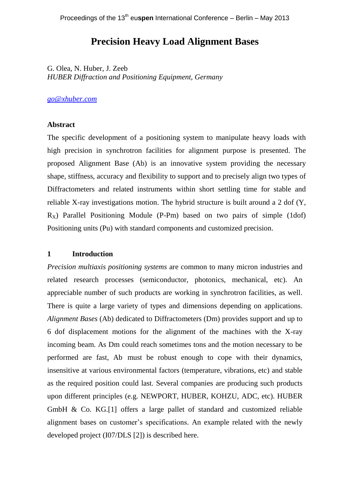# **Precision Heavy Load Alignment Bases**

G. Olea, N. Huber, J. Zeeb *HUBER Diffraction and Positioning Equipment, Germany*

## *[go@xhuber.com](mailto:go@xhuber.com)*

## **Abstract**

The specific development of a positioning system to manipulate heavy loads with high precision in synchrotron facilities for alignment purpose is presented. The proposed Alignment Base (Ab) is an innovative system providing the necessary shape, stiffness, accuracy and flexibility to support and to precisely align two types of Diffractometers and related instruments within short settling time for stable and reliable X-ray investigations motion. The hybrid structure is built around a 2 dof (Y,  $R_X$ ) Parallel Positioning Module (P-Pm) based on two pairs of simple (1dof) Positioning units (Pu) with standard components and customized precision.

#### **1 Introduction**

*Precision multiaxis positioning systems* are common to many micron industries and related research processes (semiconductor, photonics, mechanical, etc). An appreciable number of such products are working in synchrotron facilities, as well. There is quite a large variety of types and dimensions depending on applications. *Alignment Bases* (Ab) dedicated to Diffractometers (Dm) provides support and up to 6 dof displacement motions for the alignment of the machines with the X-ray incoming beam. As Dm could reach sometimes tons and the motion necessary to be performed are fast, Ab must be robust enough to cope with their dynamics, insensitive at various environmental factors (temperature, vibrations, etc) and stable as the required position could last. Several companies are producing such products upon different principles (e.g. NEWPORT, HUBER, KOHZU, ADC, etc). HUBER GmbH & Co. KG.[1] offers a large pallet of standard and customized reliable alignment bases on customer's specifications. An example related with the newly developed project (I07/DLS [2]) is described here.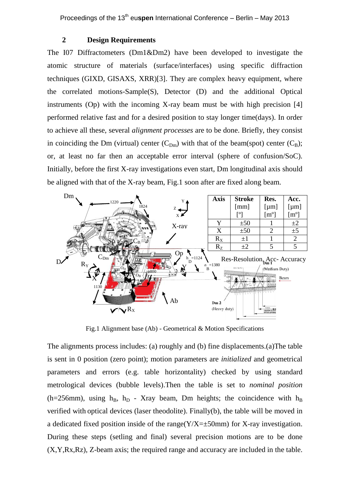#### **2 Design Requirements**

The I07 Diffractometers (Dm1&Dm2) have been developed to investigate the atomic structure of materials (surface/interfaces) using specific diffraction techniques (GIXD, GISAXS, XRR)[3]. They are complex heavy equipment, where the correlated motions-Sample(S), Detector (D) and the additional Optical instruments (Op) with the incoming X-ray beam must be with high precision [4] performed relative fast and for a desired position to stay longer time(days). In order to achieve all these, several *alignment processes* are to be done. Briefly, they consist in coinciding the Dm (virtual) center  $(C_{Dm})$  with that of the beam(spot) center  $(C_{B})$ ; or, at least no far then an acceptable error interval (sphere of confusion/SoC). Initially, before the first X-ray investigations even start, Dm longitudinal axis should be aligned with that of the X-ray beam, Fig.1 soon after are fixed along beam.



Fig.1 Alignment base (Ab) - Geometrical & Motion Specifications

The alignments process includes: (a) roughly and (b) fine displacements.(a)The table is sent in 0 position (zero point); motion parameters are *initialized* and geometrical parameters and errors (e.g. table horizontality) checked by using standard metrological devices (bubble levels).Then the table is set to *nominal position* (h=256mm), using  $h_B$ ,  $h_D$  - Xray beam, Dm heights; the coincidence with  $h_B$ verified with optical devices (laser theodolite). Finally(b), the table will be moved in a dedicated fixed position inside of the range( $Y/X=\pm 50$ mm) for X-ray investigation. During these steps (setling and final) several precision motions are to be done (X,Y,Rx,Rz), Z-beam axis; the required range and accuracy are included in the table.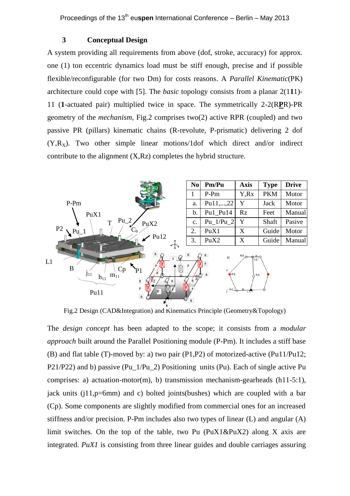#### **3 Conceptual Design**

A system providing all requirements from above (dof, stroke, accuracy) for approx. one (1) ton eccentric dynamics load must be stiff enough, precise and if possible flexible/reconfigurable (for two Dm) for costs reasons. A *Parallel Kinematic*(PK) architecture could cope with [5]. The *basic* topology consists from a planar 2(1**1**1)- 11 (**1**-actuated pair) multiplied twice in space. The symmetrically 2-2(R**P**R)-PR geometry of the *mechanism,* Fig.2 comprises two(2) active RPR (coupled) and two passive PR (pillars) kinematic chains (R-revolute, P-prismatic) delivering 2 dof  $(Y,R<sub>x</sub>)$ . Two other simple linear motions/1dof which direct and/or indirect contribute to the alignment (X,Rz) completes the hybrid structure.



Fig.2 Design (CAD&Integration) and Kinematics Principle (Geometry&Topology)

The *design concept* has been adapted to the scope; it consists from a *modular approach* built around the Parallel Positioning module (P-Pm). It includes a stiff base (B) and flat table (T)-moved by: a) two pair (P1,P2) of motorized-active (Pu11/Pu12; P21/P22) and b) passive (Pu\_1/Pu\_2) Positioning units (Pu). Each of single active Pu comprises: a) actuation-motor(m), b) transmission mechanism-gearheads (h11-5:1), jack units  $(i11,p=6mm)$  and c) bolted joints(bushes) which are coupled with a bar (Cp). Some components are slightly modified from commercial ones for an increased stiffness and/or precision. P-Pm includes also two types of linear (L) and angular (A) limit switches. On the top of the table, two Pu  $(PuX1\&PuX2)$  along X axis are integrated. *PuX1* is consisting from three linear guides and double carriages assuring